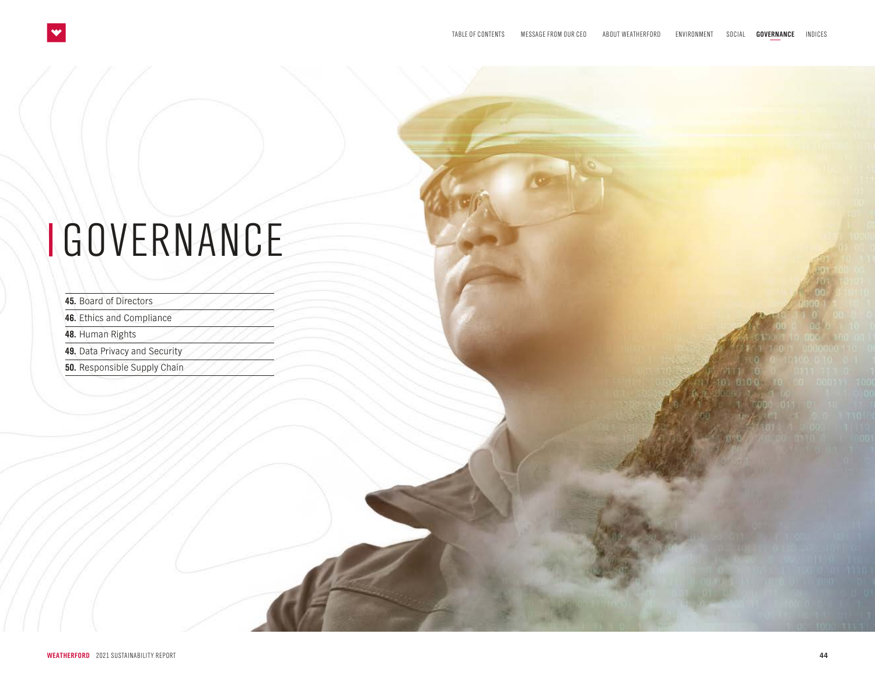## <span id="page-0-0"></span>GOVERNANCE

**45.** [Board of Directors](#page-1-0)

**46.** [Ethics and Compliance](#page-2-0)

**48.** [Human Rights](#page-4-0)

**49.** [Data Privacy and Security](#page-5-0)

**50.** [Responsible Supply Chain](#page-6-0)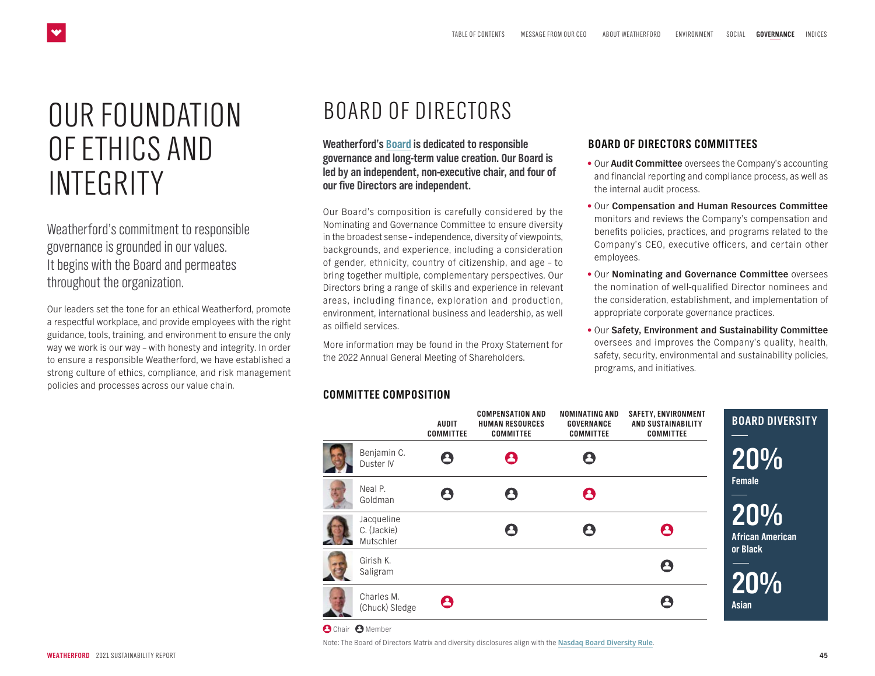## <span id="page-1-0"></span>OUR FOUNDATION OF ETHICS AND INTEGRITY

Weatherford's commitment to responsible governance is grounded in our values. It begins with the Board and permeates throughout the organization.

Our leaders set the tone for an ethical Weatherford, promote a respectful workplace, and provide employees with the right guidance, tools, training, and environment to ensure the only way we work is our way – with honesty and integrity. In order to ensure a responsible Weatherford, we have established a strong culture of ethics, compliance, and risk management policies and processes across our value chain.

## BOARD OF DIRECTORS

**Weatherford's [Board](https://www.weatherford.com/en/investor-relations/company-information/corporate-governance/board-of-directors/) is dedicated to responsible governance and long-term value creation. Our Board is led by an independent, non-executive chair, and four of our five Directors are independent.** 

Our Board's composition is carefully considered by the Nominating and Governance Committee to ensure diversity in the broadest sense – independence, diversity of viewpoints, backgrounds, and experience, including a consideration of gender, ethnicity, country of citizenship, and age – to bring together multiple, complementary perspectives. Our Directors bring a range of skills and experience in relevant areas, including finance, exploration and production, environment, international business and leadership, as well as oilfield services.

More information may be found in the Proxy Statement for the 2022 Annual General Meeting of Shareholders.

#### **COMMITTEE COMPOSITION**

#### **BOARD OF DIRECTORS COMMITTEES**

- Our **Audit Committee** oversees the Company's accounting and financial reporting and compliance process, as well as the internal audit process.
- Our **Compensation and Human Resources Committee**  monitors and reviews the Company's compensation and benefits policies, practices, and programs related to the Company's CEO, executive officers, and certain other employees.
- Our **Nominating and Governance Committee** oversees the nomination of well-qualified Director nominees and the consideration, establishment, and implementation of appropriate corporate governance practices.
- Our **Safety, Environment and Sustainability Committee**  oversees and improves the Company's quality, health, safety, security, environmental and sustainability policies, programs, and initiatives.



**O** Chair **O** Member

Note: The Board of Directors Matrix and diversity disclosures align with the **[Nasdaq Board Diversity Rule](https://listingcenter.nasdaq.com/assets/Board%20Diversity%20Disclosure%20Five%20Things.pdf)**.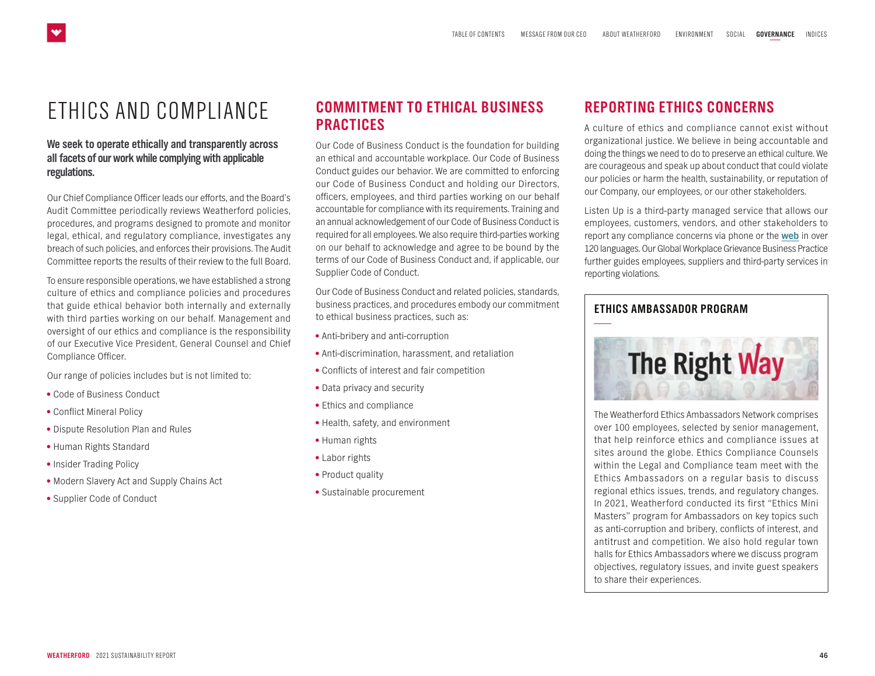## <span id="page-2-0"></span>ETHICS AND COMPLIANCE

#### **We seek to operate ethically and transparently across all facets of our work while complying with applicable regulations.**

Our Chief Compliance Officer leads our efforts, and the Board's Audit Committee periodically reviews Weatherford policies, procedures, and programs designed to promote and monitor legal, ethical, and regulatory compliance, investigates any breach of such policies, and enforces their provisions. The Audit Committee reports the results of their review to the full Board.

To ensure responsible operations, we have established a strong culture of ethics and compliance policies and procedures that guide ethical behavior both internally and externally with third parties working on our behalf. Management and oversight of our ethics and compliance is the responsibility of our Executive Vice President, General Counsel and Chief Compliance Officer.

Our range of policies includes but is not limited to:

- Code of Business Conduct
- Conflict Mineral Policy
- Dispute Resolution Plan and Rules
- Human Rights Standard
- Insider Trading Policy
- Modern Slavery Act and Supply Chains Act
- Supplier Code of Conduct

#### **COMMITMENT TO ETHICAL BUSINESS PRACTICES**

Our Code of Business Conduct is the foundation for building an ethical and accountable workplace. Our Code of Business Conduct guides our behavior. We are committed to enforcing our Code of Business Conduct and holding our Directors, officers, employees, and third parties working on our behalf accountable for compliance with its requirements. Training and an annual acknowledgement of our Code of Business Conduct is required for all employees. We also require third-parties working on our behalf to acknowledge and agree to be bound by the terms of our Code of Business Conduct and, if applicable, our Supplier Code of Conduct.

Our Code of Business Conduct and related policies, standards, business practices, and procedures embody our commitment to ethical business practices, such as:

- Anti-bribery and anti-corruption
- Anti-discrimination, harassment, and retaliation
- Conflicts of interest and fair competition
- Data privacy and security
- Ethics and compliance
- Health, safety, and environment
- Human rights
- Labor rights
- Product quality
- Sustainable procurement

#### **REPORTING ETHICS CONCERNS**

A culture of ethics and compliance cannot exist without organizational justice. We believe in being accountable and doing the things we need to do to preserve an ethical culture. We are courageous and speak up about conduct that could violate our policies or harm the health, sustainability, or reputation of our Company, our employees, or our other stakeholders.

Listen Up is a third-party managed service that allows our employees, customers, vendors, and other stakeholders to report any compliance concerns via phone or the **[web](http://www.ListenUpWFT.com)** in over 120 languages. Our Global Workplace Grievance Business Practice further guides employees, suppliers and third-party services in reporting violations.



The Weatherford Ethics Ambassadors Network comprises over 100 employees, selected by senior management, that help reinforce ethics and compliance issues at sites around the globe. Ethics Compliance Counsels within the Legal and Compliance team meet with the Ethics Ambassadors on a regular basis to discuss regional ethics issues, trends, and regulatory changes. In 2021, Weatherford conducted its first "Ethics Mini Masters" program for Ambassadors on key topics such as anti-corruption and bribery, conflicts of interest, and antitrust and competition. We also hold regular town halls for Ethics Ambassadors where we discuss program objectives, regulatory issues, and invite guest speakers to share their experiences.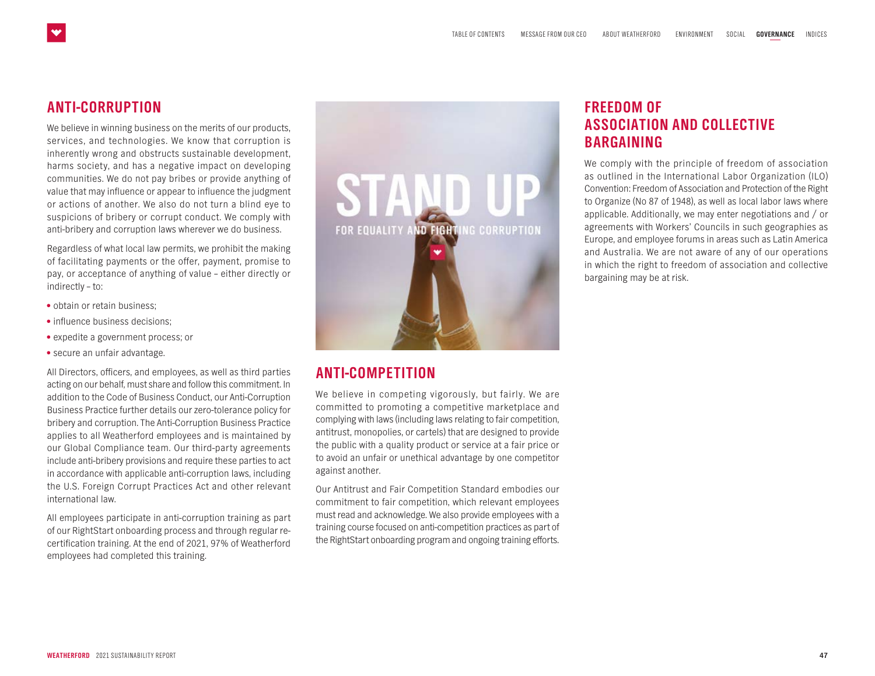#### **ANTI-CORRUPTION**

We believe in winning business on the merits of our products, services, and technologies. We know that corruption is inherently wrong and obstructs sustainable development, harms society, and has a negative impact on developing communities. We do not pay bribes or provide anything of value that may influence or appear to influence the judgment or actions of another. We also do not turn a blind eye to suspicions of bribery or corrupt conduct. We comply with anti-bribery and corruption laws wherever we do business.

Regardless of what local law permits, we prohibit the making of facilitating payments or the offer, payment, promise to pay, or acceptance of anything of value – either directly or indirectly – to:

- obtain or retain business;
- influence business decisions:
- expedite a government process; or
- secure an unfair advantage.

All Directors, officers, and employees, as well as third parties acting on our behalf, must share and follow this commitment. In addition to the Code of Business Conduct, our Anti-Corruption Business Practice further details our zero-tolerance policy for bribery and corruption. The Anti-Corruption Business Practice applies to all Weatherford employees and is maintained by our Global Compliance team. Our third-party agreements include anti-bribery provisions and require these parties to act in accordance with applicable anti-corruption laws, including the U.S. Foreign Corrupt Practices Act and other relevant international law.

All employees participate in anti-corruption training as part of our RightStart onboarding process and through regular recertification training. At the end of 2021, 97% of Weatherford employees had completed this training.



#### **ANTI-COMPETITION**

We believe in competing vigorously, but fairly. We are committed to promoting a competitive marketplace and complying with laws (including laws relating to fair competition, antitrust, monopolies, or cartels) that are designed to provide the public with a quality product or service at a fair price or to avoid an unfair or unethical advantage by one competitor against another.

Our Antitrust and Fair Competition Standard embodies our commitment to fair competition, which relevant employees must read and acknowledge. We also provide employees with a training course focused on anti-competition practices as part of the RightStart onboarding program and ongoing training efforts.

#### **FREEDOM OF ASSOCIATION AND COLLECTIVE BARGAINING**

We comply with the principle of freedom of association as outlined in the International Labor Organization (ILO) Convention: Freedom of Association and Protection of the Right to Organize (No 87 of 1948), as well as local labor laws where applicable. Additionally, we may enter negotiations and / or agreements with Workers' Councils in such geographies as Europe, and employee forums in areas such as Latin America and Australia. We are not aware of any of our operations in which the right to freedom of association and collective bargaining may be at risk.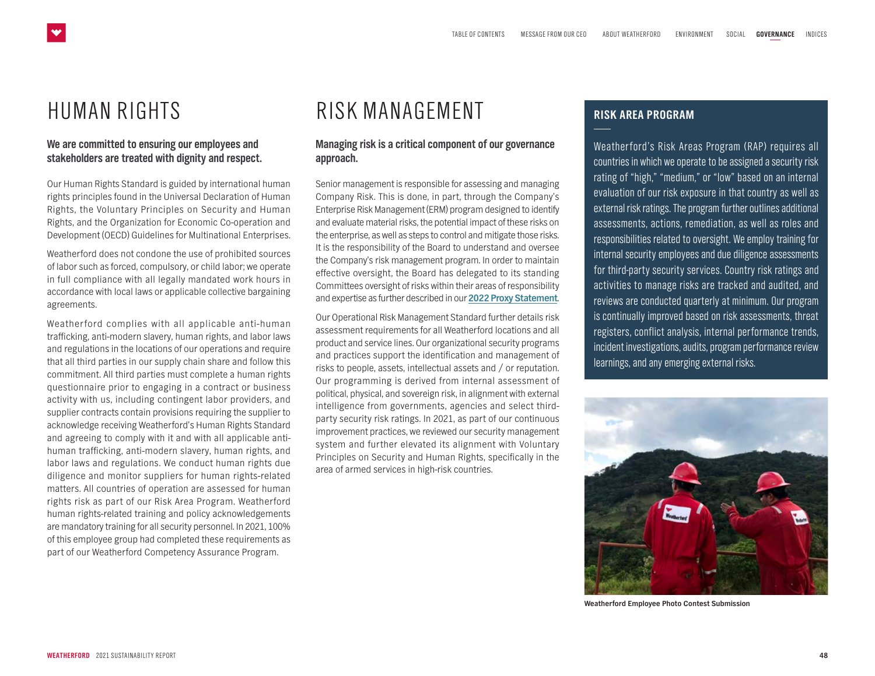## <span id="page-4-0"></span>HUMAN RIGHTS

#### **We are committed to ensuring our employees and stakeholders are treated with dignity and respect.**

Our Human Rights Standard is guided by international human rights principles found in the Universal Declaration of Human Rights, the Voluntary Principles on Security and Human Rights, and the Organization for Economic Co-operation and Development (OECD) Guidelines for Multinational Enterprises.

Weatherford does not condone the use of prohibited sources of labor such as forced, compulsory, or child labor; we operate in full compliance with all legally mandated work hours in accordance with local laws or applicable collective bargaining agreements.

Weatherford complies with all applicable anti-human trafficking, anti-modern slavery, human rights, and labor laws and regulations in the locations of our operations and require that all third parties in our supply chain share and follow this commitment. All third parties must complete a human rights questionnaire prior to engaging in a contract or business activity with us, including contingent labor providers, and supplier contracts contain provisions requiring the supplier to acknowledge receiving Weatherford's Human Rights Standard and agreeing to comply with it and with all applicable antihuman trafficking, anti-modern slavery, human rights, and labor laws and regulations. We conduct human rights due diligence and monitor suppliers for human rights-related matters. All countries of operation are assessed for human rights risk as part of our Risk Area Program. Weatherford human rights-related training and policy acknowledgements are mandatory training for all security personnel. In 2021, 100% of this employee group had completed these requirements as part of our Weatherford Competency Assurance Program.

### RISK MANAGEMENT

#### **Managing risk is a critical component of our governance approach.**

Senior management is responsible for assessing and managing Company Risk. This is done, in part, through the Company's Enterprise Risk Management (ERM) program designed to identify and evaluate material risks, the potential impact of these risks on the enterprise, as well as steps to control and mitigate those risks. It is the responsibility of the Board to understand and oversee the Company's risk management program. In order to maintain effective oversight, the Board has delegated to its standing Committees oversight of risks within their areas of responsibility and expertise as further described in our **[2022 Proxy Statement](https://www.weatherford.com/documents/annual-reports-and-proxies/2022/2022-proxy-materials/)**.

Our Operational Risk Management Standard further details risk assessment requirements for all Weatherford locations and all product and service lines. Our organizational security programs and practices support the identification and management of risks to people, assets, intellectual assets and / or reputation. Our programming is derived from internal assessment of political, physical, and sovereign risk, in alignment with external intelligence from governments, agencies and select thirdparty security risk ratings. In 2021, as part of our continuous improvement practices, we reviewed our security management system and further elevated its alignment with Voluntary Principles on Security and Human Rights, specifically in the area of armed services in high-risk countries.

#### **RISK AREA PROGRAM**

Weatherford's Risk Areas Program (RAP) requires all countries in which we operate to be assigned a security risk rating of "high," "medium," or "low" based on an internal evaluation of our risk exposure in that country as well as external risk ratings. The program further outlines additional assessments, actions, remediation, as well as roles and responsibilities related to oversight. We employ training for internal security employees and due diligence assessments for third-party security services. Country risk ratings and activities to manage risks are tracked and audited, and reviews are conducted quarterly at minimum. Our program is continually improved based on risk assessments, threat registers, conflict analysis, internal performance trends, incident investigations, audits, program performance review learnings, and any emerging external risks.



**Weatherford Employee Photo Contest Submission**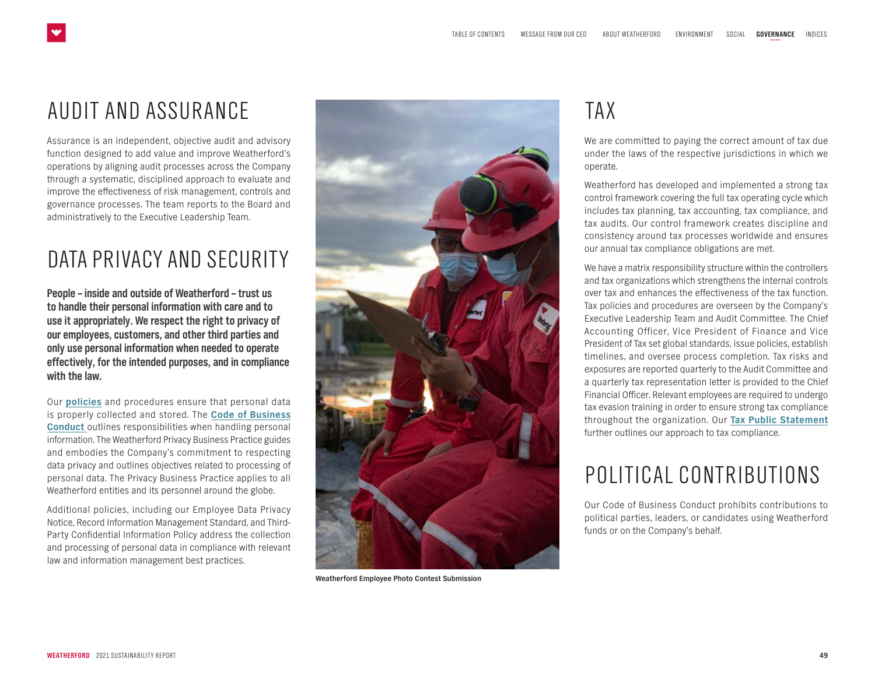## <span id="page-5-0"></span>AUDIT AND ASSURANCE

Assurance is an independent, objective audit and advisory function designed to add value and improve Weatherford's operations by aligning audit processes across the Company through a systematic, disciplined approach to evaluate and improve the effectiveness of risk management, controls and governance processes. The team reports to the Board and administratively to the Executive Leadership Team.

## DATA PRIVACY AND SECURITY

**People – inside and outside of Weatherford – trust us to handle their personal information with care and to use it appropriately. We respect the right to privacy of our employees, customers, and other third parties and only use personal information when needed to operate effectively, for the intended purposes, and in compliance with the law.** 

Our **[policies](https://www.weatherford.com/about-us/policies/data-privacy-notice/)** and procedures ensure that personal data is properly collected and stored. The **[Code of Business](https://www.weatherford.com/documents/corporate-documents/weatherford-code-of-conduct/weatherford-code-of-conduct-english) [Conduct](https://www.weatherford.com/documents/corporate-documents/weatherford-code-of-conduct/weatherford-code-of-conduct-english)** outlines responsibilities when handling personal information. The Weatherford Privacy Business Practice guides and embodies the Company's commitment to respecting data privacy and outlines objectives related to processing of personal data. The Privacy Business Practice applies to all Weatherford entities and its personnel around the globe.

Additional policies, including our Employee Data Privacy Notice, Record Information Management Standard, and Third-Party Confidential Information Policy address the collection and processing of personal data in compliance with relevant law and information management best practices.



**Weatherford Employee Photo Contest Submission**

## TAX

We are committed to paying the correct amount of tax due under the laws of the respective jurisdictions in which we operate.

Weatherford has developed and implemented a strong tax control framework covering the full tax operating cycle which includes tax planning, tax accounting, tax compliance, and tax audits. Our control framework creates discipline and consistency around tax processes worldwide and ensures our annual tax compliance obligations are met.

We have a matrix responsibility structure within the controllers and tax organizations which strengthens the internal controls over tax and enhances the effectiveness of the tax function. Tax policies and procedures are overseen by the Company's Executive Leadership Team and Audit Committee. The Chief Accounting Officer, Vice President of Finance and Vice President of Tax set global standards, issue policies, establish timelines, and oversee process completion. Tax risks and exposures are reported quarterly to the Audit Committee and a quarterly tax representation letter is provided to the Chief Financial Officer. Relevant employees are required to undergo tax evasion training in order to ensure strong tax compliance throughout the organization. Our **[Tax Public Statement](https://www.weatherford.com/documents/corporate-documents/governance-and-policies/tax-strategy-public-statement/)** further outlines our approach to tax compliance.

## POLITICAL CONTRIBUTIONS

Our Code of Business Conduct prohibits contributions to political parties, leaders, or candidates using Weatherford funds or on the Company's behalf.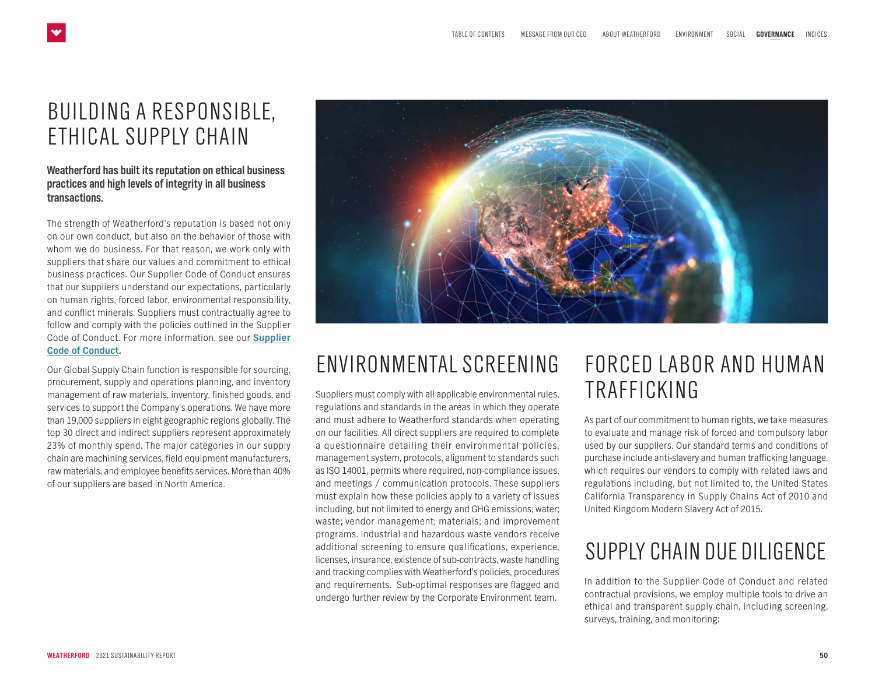## <span id="page-6-0"></span>BUILDING A RESPONSIBLE, ETHICAL SUPPLY CHAIN

#### **Weatherford has built its reputation on ethical business practices and high levels of integrity in all business transactions.**

The strength of Weatherford's reputation is based not only on our own conduct, but also on the behavior of those with whom we do business. For that reason, we work only with suppliers that share our values and commitment to ethical business practices. Our Supplier Code of Conduct ensures that our suppliers understand our expectations, particularly on human rights, forced labor, environmental responsibility, and conflict minerals. Suppliers must contractually agree to follow and comply with the policies outlined in the Supplier Code of Conduct. For more information, see our **[Supplier](https://www.weatherford.com/documents/corporate-documents/supplier-code-of-conduct/supplier-code-of-conduct-english/) [Code of Conduct.](https://www.weatherford.com/documents/corporate-documents/supplier-code-of-conduct/supplier-code-of-conduct-english/)** 

Our Global Supply Chain function is responsible for sourcing, procurement, supply and operations planning, and inventory management of raw materials, inventory, finished goods, and services to support the Company's operations. We have more than 19,000 suppliers in eight geographic regions globally. The top 30 direct and indirect suppliers represent approximately 23% of monthly spend. The major categories in our supply chain are machining services, field equipment manufacturers, raw materials, and employee benefits services. More than 40% of our suppliers are based in North America.



## ENVIRONMENTAL SCREENING

Suppliers must comply with all applicable environmental rules, regulations and standards in the areas in which they operate and must adhere to Weatherford standards when operating on our facilities. All direct suppliers are required to complete a questionnaire detailing their environmental policies, management system, protocols, alignment to standards such as ISO 14001, permits where required, non-compliance issues, and meetings / communication protocols. These suppliers must explain how these policies apply to a variety of issues including, but not limited to energy and GHG emissions; water; waste; vendor management; materials; and improvement programs. Industrial and hazardous waste vendors receive additional screening to ensure qualifications, experience, licenses, insurance, existence of sub-contracts, waste handling and tracking complies with Weatherford's policies, procedures and requirements. Sub-optimal responses are flagged and undergo further review by the Corporate Environment team.

## FORCED LABOR AND HUMAN TRAFFICKING

As part of our commitment to human rights, we take measures to evaluate and manage risk of forced and compulsory labor used by our suppliers. Our standard terms and conditions of purchase include anti-slavery and human trafficking language, which requires our vendors to comply with related laws and regulations including, but not limited to, the United States California Transparency in Supply Chains Act of 2010 and United Kingdom Modern Slavery Act of 2015.

## SUPPLY CHAIN DUE DILIGENCE

In addition to the Supplier Code of Conduct and related contractual provisions, we employ multiple tools to drive an ethical and transparent supply chain, including screening, surveys, training, and monitoring: